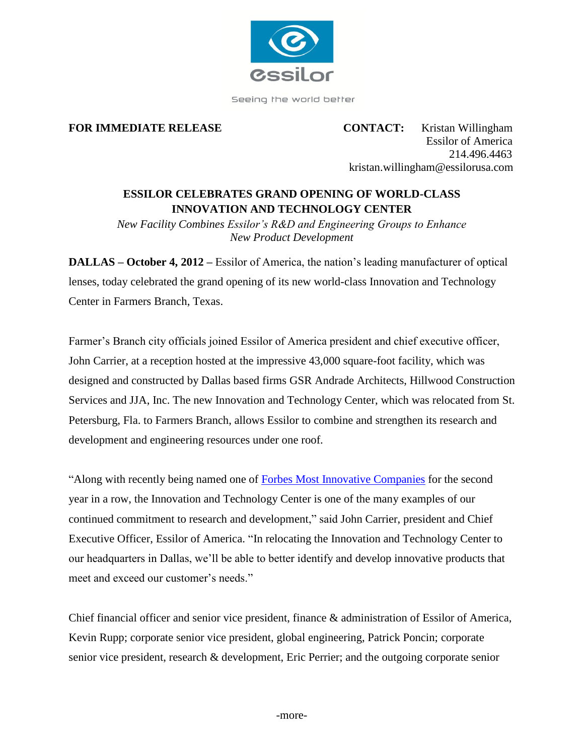

Seeing the world better

**FOR IMMEDIATE RELEASE CONTACT:** Kristan Willingham Essilor of America 214.496.4463 kristan.willingham@essilorusa.com

## **ESSILOR CELEBRATES GRAND OPENING OF WORLD-CLASS INNOVATION AND TECHNOLOGY CENTER**

*New Facility Combines Essilor's R&D and Engineering Groups to Enhance New Product Development*

**DALLAS – October 4, 2012 –** Essilor of America, the nation's leading manufacturer of optical lenses, today celebrated the grand opening of its new world-class Innovation and Technology Center in Farmers Branch, Texas.

Farmer's Branch city officials joined Essilor of America president and chief executive officer, John Carrier, at a reception hosted at the impressive 43,000 square-foot facility, which was designed and constructed by Dallas based firms GSR Andrade Architects, Hillwood Construction Services and JJA, Inc. The new Innovation and Technology Center, which was relocated from St. Petersburg, Fla. to Farmers Branch, allows Essilor to combine and strengthen its research and development and engineering resources under one roof.

"Along with recently being named one of [Forbes Most Innovative Companies](http://www.forbes.com/companies/essilor-international/) for the second year in a row, the Innovation and Technology Center is one of the many examples of our continued commitment to research and development," said John Carrier, president and Chief Executive Officer, Essilor of America. "In relocating the Innovation and Technology Center to our headquarters in Dallas, we'll be able to better identify and develop innovative products that meet and exceed our customer's needs."

Chief financial officer and senior vice president, finance & administration of Essilor of America, Kevin Rupp; corporate senior vice president, global engineering, Patrick Poncin; corporate senior vice president, research & development, Eric Perrier; and the outgoing corporate senior